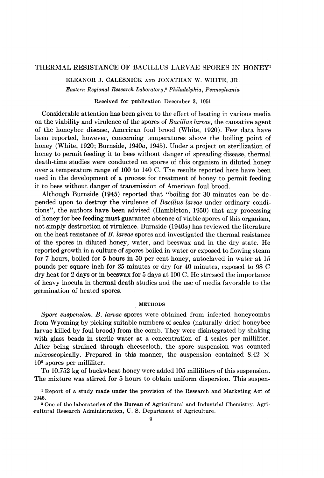# THERMAL RESISTANCE OF BACILLUS LARVAE SPORES IN HONEY'

ELEANOR J. CALESNICK AND JONATHAN W. WHITE, JR. Eastern Regional Research Laboratory,2 Philadelphia, Pennsylvania

Received for publication December 3, 1951

Considerable attention has been given to the effect of heating in various media on the viability and virulence of the spores of Bacillus larvae, the causative agent of the honeybee disease, American foul brood (White, 1920). Few data have been reported, however, concerning temperatures above the boiling point of honey (White, 1920; Burnside, 1940a, 1945). Under a project on sterilization of honey to permit feeding it to bees without danger of spreading disease, thermal death-time studies were conducted on spores of this organism in diluted honey over a temperature range of 100 to 140 C. The results reported here have been used in the development of a process for treatment of honey to permit feeding it to bees without danger of transmission of American foul brood.

Although Burnside (1945) reported that "boiling for 30 minutes can be depended upon to destroy the virulence of Bacillus larvae under ordinary conditions", the authors have been advised (Hambleton, 1950) that any processing of honey for bee feeding must guarantee absence of viable spores of this organism, not simply destruction of virulence. Burnside (1940a) has reviewed the literature on the heat resistance of B. larvae spores and investigated the thermal resistance of the spores in diluted honey, water, and beeswax and in the dry state. He reported growth in a culture of spores boiled in water or exposed to flowing steam for 7 hours, boiled for 5 hours in 50 per cent honey, autoclaved in water at 15 pounds per square inch for 25 minutes or dry for 40 minutes, exposed to 98 C dry heat for 2 days or in beeswax for 5 days at 100 C. He stressed the importance of heavy inocula in thermal death studies and the use of media favorable to the germination of heated spores.

# METHODS

Spore suspension. B. larvae spores were obtained from infected honeycombs from Wyoming by picking suitable numbers of scales (naturally dried honeybee larvae killed by foul brood) from the comb. They were disintegrated by shaking with glass beads in sterile water at a concentration of 4 scales per milliliter. After being strained through cheesecloth, the spore suspension was counted microscopically. Prepared in this manner, the suspension contained 8.42  $\times$ 109 spores per milliliter.

To 10.752 kg of buckwheat honey were added 105 milliliters of this suspension. The mixture was stirred for 5 hours to obtain uniform dispersion. This suspen-

<sup>1</sup> Report of a study made under the provision of the Research and Marketing Act of 1946.

<sup>2</sup> One of the laboratories of the Bureau of Agricultural and Industrial Chemistry, Agricultural Research Administration, U. S. Department of Agriculture.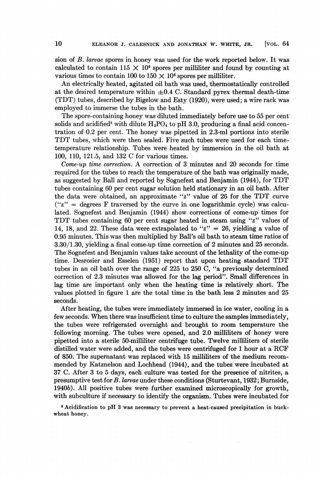sion of B. larvae spores in honey was used for the work reported below. It was calculated to contain 115  $\times$  10<sup>6</sup> spores per milliliter and found by counting at various times to contain 100 to 150  $\times$  10<sup>6</sup> spores per milliliter.

An electrically heated, agitated oil bath was used, thermostatically controlled at the desired temperature within  $\pm 0.4$  C. Standard pyrex thermal death-time (TDT) tubes, described by Bigelow and Esty (1920), were used; a wire rack was employed to immerse the tubes in the bath.

The spore-containing honey was diluted immediately before use to 55 per cent solids and acidified<sup>3</sup> with dilute  $H<sub>3</sub>PO<sub>4</sub>$  to pH 3.0, producing a final acid concentration of 0.2 per cent. The honey was pipetted in 2.3-ml portions into sterile TDT tubes, which were then sealed. Five such tubes were used for each timetemperature relationship. Tubes were heated by immersion in the oil bath at 100, 110, 121.5, and 132 C for various times.

Come-up time correction. A correction of <sup>3</sup> minutes and <sup>20</sup> seconds for time required for the tubes to reach the temperature of the bath was originally made, as suggested by Ball and reported by Sognefest and Benjamin (1944), for TDT tubes containing 60 per cent sugar solution held stationary in an oil bath. After the data were obtained, an approximate "z" value of <sup>26</sup> for the TDT curve  $($ " $z$ " = degrees F traversed by the curve in one logarithmic cycle) was calculated. Sognefest and Benjamin (1944) show corrections of come-up times for TDT tubes containing <sup>60</sup> per cent sugar heated in steam using "z" values of 14, 18, and 22. These data were extrapolated to " $z$ " = 26, yielding a value of 0.95 minutes. This was then multiplied by Ball's oil bath to steam time ratios of 3.30/1.30, yielding a final come-up time correction of 2 minutes and 25 seconds. The Sognefest and Benjamin values take account of the lethality of the come-up time. Desrosier and Esselen (1951) report that upon heating standard TDT tubes in an oil bath over the range of 225 to 250 C, "a previously determined correction of 2.3 minutes was allowed for the lag period". Small differences in lag time are important only when the heating time is relatively short. The values plotted in figure <sup>1</sup> are the total time in the bath less 2 minutes and 25 seconds.

After heating, the tubes were immediately immersed in ice water, cooling in a few seconds. Vhen there was insufficient time to culture the samples immediately, the tubes were refrigerated overnight and brought to room temperature the following morning. The tubes were opened, and 2.0 milliliters of honey were pipetted into a sterile 50-milliliter centrifuge tube. Twelve milliliters of sterile distilled water were added, and the tubes were centrifuged for <sup>1</sup> hour at <sup>a</sup> RCF of 850. The supernatant was replaced with 15 milliliters of the medium recommended by Katznelson and Lochhead (1944), and the tubes were incubated at 37 C. After 3 to 5 days, each culture was tested for the presence of nitrites, a presumptive test for B. larvae under these conditions (Sturtevant, 1932; Burnside, 1940b). All positive tubes were further examined microscopically for growth, with subculture if necessary to identify the organism. Tubes were incubated for

<sup>8</sup> Acidification to pH <sup>3</sup> was necessary to prevent <sup>a</sup> heat-caused precipitation in buckwheat honey.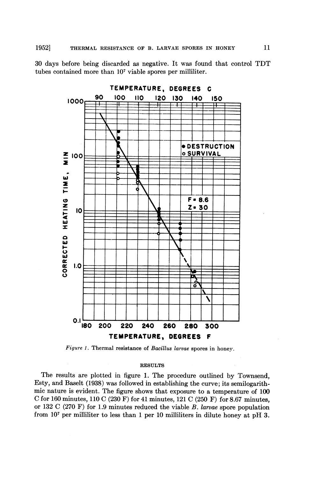<sup>30</sup> days before being discarded as negative. It was found that control TDT tubes contained more than 107 viable spores per milliliter.



Figure 1. Thermal resistance of Bacillus larvae spores in honey.

## **RESULTS**

The results are plotted in figure 1. The procedure outlined by Townsend, Esty, and Baselt (1938) was followed in establishing the curve; its semilogarithmic nature is evident. The figure shows that exposure to a temperature of 100 C for 160 minutes, 110 C (230 F) for 41 minutes, 121 C (250 F) for 8.67 minutes, or <sup>132</sup> C (270 F) for 1.9 minutes reduced the viable B. larvae spore population from <sup>107</sup> per milliliter to less than <sup>1</sup> per <sup>10</sup> milliliters in dilute honey at pH 3.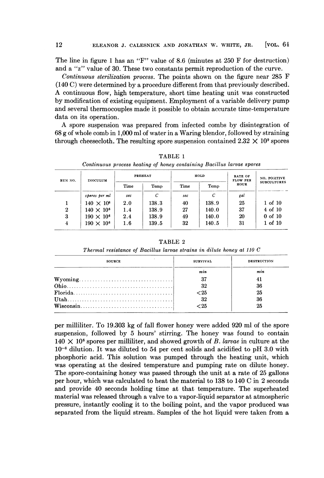The line in figure <sup>1</sup> has an "F" value of 8.6 (minutes at 250 F for destruction) and a "z" value of 30. These two constants permit reproduction of the curve.

Continuous sterilization process. The points shown on the figure near 285 F (140 C) were determined by a procedure different from that previously described. A continuous flow, high temperature, short time heating unit was constructed by modification of existing equipment. Employment of a variable delivery pump and several thermocouples made it possible to obtain accurate time-temperature data on its operation.

A spore suspension was prepared from infected combs by disintegration of 68 g of whole comb in 1,000 ml of water in a Waring blendor, followed by straining through cheesecloth. The resulting spore suspension contained  $2.32 \times 10^9$  spores

| RUN NO.          | <b>INOCULUM</b>     | <b>PREHEAT</b> |       | HOLD |       | RATE OF<br><b>FLOW PER</b> | NO. POSITIVE       |
|------------------|---------------------|----------------|-------|------|-------|----------------------------|--------------------|
|                  |                     | Time           | Temp  | Time | Temp  | HOUR                       | <b>SUBCULTURES</b> |
|                  | spores per ml       | sec            | C     | sec  | С     | gal                        |                    |
|                  | $140 \times 10^6$   | 2.0            | 138.3 | 40   | 138.9 | 25                         | 1 of 10            |
| $\boldsymbol{2}$ | $140 \times 10^{6}$ | 1.4            | 138.9 | 27   | 140.0 | 37                         | 4 of 10            |
| 3                | $190 \times 10^6$   | 2.4            | 138.9 | 49   | 140.0 | 20                         | $0$ of $10$        |
| 4                | $190 \times 10^6$   | 1.6            | 139.5 | 32   | 140.5 | 31                         | $1$ of $10$        |

TABLE <sup>1</sup>

Continuous process heating of honey containing Bacillus larvae spores

TABLE <sup>2</sup>

Thermal resistance of Bacillus larvae strains in dilute honey at 110 C

|                  | spores per ml                                                          | sec     | $\mathcal{C}$ | sec           | C                            | gal      |                                 |  |
|------------------|------------------------------------------------------------------------|---------|---------------|---------------|------------------------------|----------|---------------------------------|--|
| 1                | $140 \times 10^6$                                                      | 2.0     | 138.3         | 40            | 138.9                        | 25       | $1$ of $10$                     |  |
| $\boldsymbol{2}$ | $140 \times 10^{6}$                                                    | 1.4     | 138.9         | 27            | 140.0                        | 37       | 4 of 10                         |  |
| 3                | $190 \times 10^6$                                                      | 2.4     | 138.9         | 49            | 140.0                        | 20       | 0 of 10                         |  |
| 4                | $190 \times 10^6$                                                      | $1.6\,$ | 139.5         | 32            | 140.5                        | 31       | $1$ of $10$                     |  |
|                  |                                                                        |         |               |               |                              |          |                                 |  |
|                  |                                                                        |         |               | TABLE 2       |                              |          |                                 |  |
|                  | Thermal resistance of Bacillus larvae strains in dilute honey at 110 C |         |               |               |                              |          |                                 |  |
| <b>SOURCE</b>    |                                                                        |         |               |               | <b>SURVIVAL</b><br>min<br>37 |          | <b>DESTRUCTION</b><br>min<br>41 |  |
|                  |                                                                        |         |               |               |                              |          |                                 |  |
|                  |                                                                        |         |               |               |                              |          |                                 |  |
|                  |                                                                        |         |               | 32<br>${<}25$ |                              | 36<br>25 |                                 |  |
|                  |                                                                        |         |               |               |                              |          |                                 |  |
|                  |                                                                        |         | 32            |               | 36                           |          |                                 |  |
|                  |                                                                        |         |               | ${<}25$       |                              | 25       |                                 |  |

per milliliter. To 19.303 kg of fall flower honey were added 920 ml of the spore suspension, followed by 5 hours' stirring. The honey was found to contain  $140 \times 10^6$  spores per milliliter, and showed growth of B. larvae in culture at the  $10^{-8}$  dilution. It was diluted to 54 per cent solids and acidified to pH 3.0 with phosphoric acid. This solution was pumped through the heating unit, which was operating at the desired temperature and pumping rate on dilute honey. The spore-containing honey was passed through the unit at a rate of 25 gallons per hour, which was calculated to heat the material to 138 to 140 C in 2 seconds and provide 40 seconds holding time at that temperature. The superheated material was released through a valve to a vapor-liquid separator at atmospheric pressure, instantly cooling it to the boiling point, and the vapor produced was separated from the liquid stream. Samples of the hot liquid were taken from a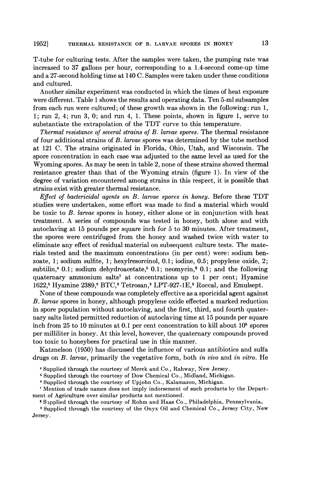T-tube for culturing tests. After the samples were taken, the pumping rate was increased to 37 gallons per hour, corresponding to a 1.4-second come-up time and a 27-second holding time at 140 C. Samples were taken under these conditions and cultured.

Another similar experiment was conducted in which the times of heat exposure were different. Table <sup>1</sup> shows the results and operating data. Ten 5-ml subsamples from each run were cultured; of these growth was shown in the following: run 1, 1; run 2, 4; run 3, 0; and run 4, 1. These points, shown in figure 1, serve to substantiate the extrapolation of the TDT curve to this temperature.

Thermal resistance of several strains of B. larvae spores. The thermal resistance of four additional strains of B. larvae spores was determined by the tube method at 121 C. The strains originated in Florida, Ohio, Utah, and Wisconsin. The spore concentration in each case was adjusted to the same level as used for the Wyoming spores. As may be seen in table 2, none of these strains showed thermal resistance greater than that of the Wyoming strain (figure 1). In view of the degree of variation encountered among strains in this respect, it is possible that strains exist with greater thermal resistance.

Effect of bactericidal agents on  $B$ . larvae spores in honey. Before these TDT studies were undertaken, some effort was made to find a material which would be toxic to B. larvae spores in honey, either alone or in conjunction with heat treatment. A series of compounds was tested in honey, both alone and with autoclaving at 15 pounds per square inch for 5 to 30 minutes. After treatment, the spores were centrifuged from the honey and washed twice with water to eliminate any effect of residual material on subsequent culture tests. The materials tested and the maximum concentrations (in per cent) were: sodium benzoate, 1; sodium sulfite, 1; hexylresorcinol, 0.1; iodine, 0.5; propylene oxide, 2; subtilin,<sup>4</sup> 0.1; sodium dehydroacetate,<sup>5</sup> 0.1; neomycin,<sup>6</sup> 0.1; and the following quaternary ammonium salts<sup>7</sup> at concentrations up to 1 per cent; Hyamine 1622,8 Hyamine 2389,8 BTC,9 Tetrosan,9 LPT-927-1E,9 Roccal, and Emulsept.

None of these compounds was completely effective as a sporicidal agent against B. larvae spores in honey, although propylene oxide effected a marked reduction in spore population without autoclaving, and the first, third, and fourth quaternary salts listed permitted reduction of autoclaving time at 15 pounds per square inch from  $25$  to 10 minutes at 0.1 per cent concentration to kill about  $10^8$  spores per milliliter in honey. At this level, however, the quaternary compounds proved too toxic to honeybees for practical use in this manner.

Katznelson (1950) has discussed the influence of various antibiotics and sulfa drugs on B. larvae, primarily the vegetative form, both in vivo and in vitro. He

4Supplied through the courtesy of Merck and Co., Rahway, New Jersey.

<sup>5</sup> Supplied through the courtesy of Dow Chemical Co., Midland, Michigan.

<sup>6</sup> Supplied through the courtesy of Upjohn Co., Kalamazoo, Michigan.

<sup>7</sup> Mention of trade names does not imply indorsement of such products by the Department of Agriculture over similar products not mentioned.

<sup>8</sup> Sapplied through the courtesy of Rohm and Haas Co., Philadelphia, Pennsylvania.

<sup>9</sup> Supplied through the courtesy of the Onyx Oil and Chemical Co., Jersey City, New Jersey.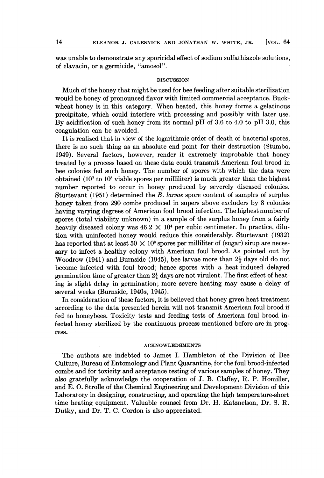was unable to demonstrate any sporicidal effect of sodium sulfathiazole solutions, of clavacin, or a germicide, "amosol".

# DISCUSSION

Much of the honey that might be used for bee feeding after suitable sterilization would be honey of pronounced flavor with limited commercial acceptance. Buckwheat honey is in this category. When heated, this honey forms a gelatinous precipitate, which could interfere with processing and possibly with later use. By acidification of such honey from its normal pH of 3.6 to 4.0 to pH 3.0, this coagulation can be avoided.

It is realized that in view of the logarithmic order of death of bacterial spores, there is no such thing as an absolute end point for their destruction (Stumbo, 1949). Several factors, however, render it extremely improbable that honey treated by a process based on these data could transmit American foul brood in bee colonies fed such honey. The number of spores with which the data were obtained  $(10<sup>7</sup>$  to  $10<sup>8</sup>$  viable spores per milliliter) is much greater than the highest number reported to occur in honey produced by severely diseased colonies. Sturtevant (1951) determined the B. larvae spore content of samples of surplus honey taken from 290 combs produced in supers above excluders by 8 colonies having varying degrees of American foul brood infection. The highest number of spores (total viability unknown) in a sample of the surplus honey from a fairly heavily diseased colony was  $46.2 \times 10^4$  per cubic centimeter. In practice, dilution with uninfected honey would reduce this considerably. Sturtevant (1932) has reported that at least  $50 \times 10^3$  spores per milliliter of (sugar) sirup are necessary to infect a healthy colony with American foul brood. As pointed out by Woodrow (1941) and Burnside (1945), bee larvae more than  $2\frac{1}{4}$  days old do not become infected with foul brood; hence spores with a heat induced delayed germination time of greater than  $2\frac{1}{4}$  days are not virulent. The first effect of heating is slight delay in germination; more severe heating may cause a delay of several weeks (Burnside, 1940a, 1945).

In consideration of these factors, it is believed that honey given heat treatment according to the data presented herein will not transmit American foul brood if fed to honeybees. Toxicity tests and feeding tests of American foul brood infected honey sterilized by the continuous process mentioned before are in progress.

### ACKNOWLEDGMENTS

The authors are indebted to James I. Hambleton of the Division of Bee Culture, Bureau of Entomology and Plant Quarantine, for the foul brood-infected combs and for toxicity and acceptance testing of various samples of honey. They also gratefully acknowledge the cooperation of J. B. Claffey, R. P. Homiller, and E. 0. Strolle of the Chemical Engineering and Development Division of this Laboratory in designing, constructing, and operating the high temperature-short time heating equipment. Valuable counsel from Dr. H. Katznelson, Dr. S. R. Dutky, and Dr. T. C. Cordon is also appreciated.